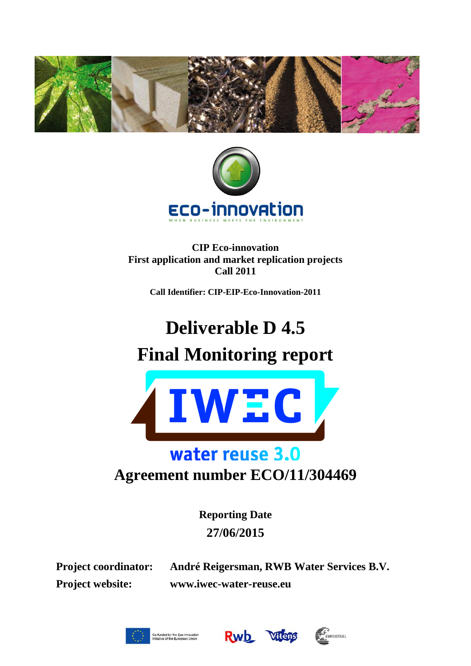



**CIP Eco-innovation First application and market replication projects Call 2011**

**Call Identifier: CIP-EIP-Eco-Innovation-2011**

# **Deliverable D 4.5**



## water reuse 3.0

**Agreement number ECO/11/304469**

**Reporting Date 27/06/2015**

**Project coordinator: André Reigersman, RWB Water Services B.V. Project website: www.iwec-water-reuse.eu**





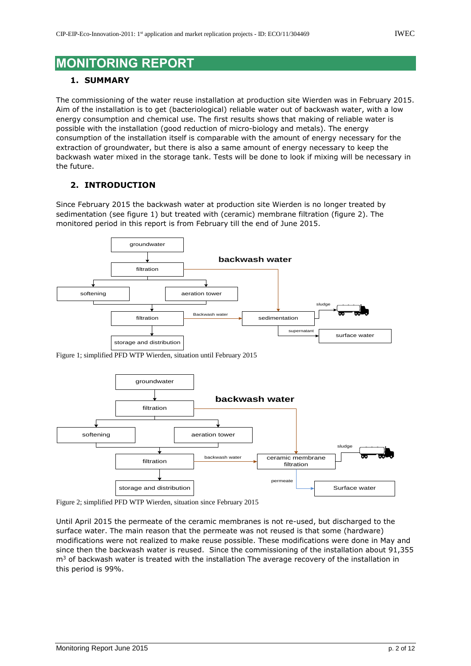### **MONITORING REPORT**

#### **1. SUMMARY**

The commissioning of the water reuse installation at production site Wierden was in February 2015. Aim of the installation is to get (bacteriological) reliable water out of backwash water, with a low energy consumption and chemical use. The first results shows that making of reliable water is possible with the installation (good reduction of micro-biology and metals). The energy consumption of the installation itself is comparable with the amount of energy necessary for the extraction of groundwater, but there is also a same amount of energy necessary to keep the backwash water mixed in the storage tank. Tests will be done to look if mixing will be necessary in the future.

#### **2. INTRODUCTION**

Since February 2015 the backwash water at production site Wierden is no longer treated by sedimentation (see figure 1) but treated with (ceramic) membrane filtration (figure 2). The monitored period in this report is from February till the end of June 2015.



Figure 1; simplified PFD WTP Wierden, situation until February 2015



Figure 2; simplified PFD WTP Wierden, situation since February 2015

Until April 2015 the permeate of the ceramic membranes is not re-used, but discharged to the surface water. The main reason that the permeate was not reused is that some (hardware) modifications were not realized to make reuse possible. These modifications were done in May and since then the backwash water is reused. Since the commissioning of the installation about 91,355  $m<sup>3</sup>$  of backwash water is treated with the installation The average recovery of the installation in this period is 99%.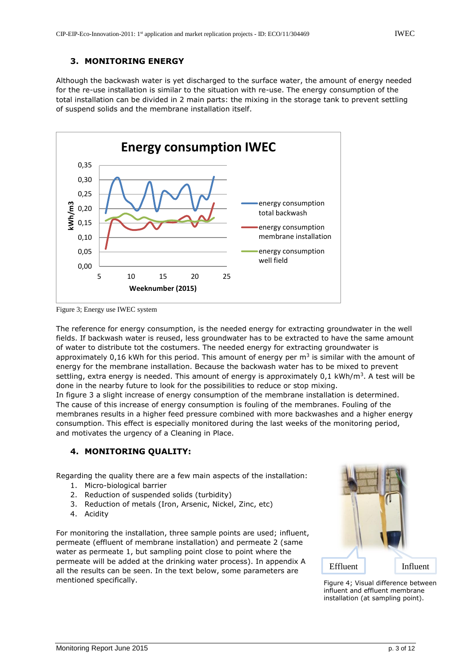#### **3. MONITORING ENERGY**

Although the backwash water is yet discharged to the surface water, the amount of energy needed for the re-use installation is similar to the situation with re-use. The energy consumption of the total installation can be divided in 2 main parts: the mixing in the storage tank to prevent settling of suspend solids and the membrane installation itself.



Figure 3; Energy use IWEC system

The reference for energy consumption, is the needed energy for extracting groundwater in the well fields. If backwash water is reused, less groundwater has to be extracted to have the same amount of water to distribute tot the costumers. The needed energy for extracting groundwater is approximately 0,16 kWh for this period. This amount of energy per m<sup>3</sup> is similar with the amount of energy for the membrane installation. Because the backwash water has to be mixed to prevent settling, extra energy is needed. This amount of energy is approximately 0,1 kWh/m $^3\!$  . A test will be done in the nearby future to look for the possibilities to reduce or stop mixing.

In figure 3 a slight increase of energy consumption of the membrane installation is determined. The cause of this increase of energy consumption is fouling of the membranes. Fouling of the membranes results in a higher feed pressure combined with more backwashes and a higher energy consumption. This effect is especially monitored during the last weeks of the monitoring period, and motivates the urgency of a Cleaning in Place.

#### **4. MONITORING QUALITY:**

Regarding the quality there are a few main aspects of the installation:

- 1. Micro-biological barrier
- 2. Reduction of suspended solids (turbidity)
- 3. Reduction of metals (Iron, Arsenic, Nickel, Zinc, etc)
- 4. Acidity

For monitoring the installation, three sample points are used; influent, permeate (effluent of membrane installation) and permeate 2 (same water as permeate 1, but sampling point close to point where the permeate will be added at the drinking water process). In appendix A all the results can be seen. In the text below, some parameters are mentioned specifically.



Figure 4; Visual difference between influent and effluent membrane installation (at sampling point).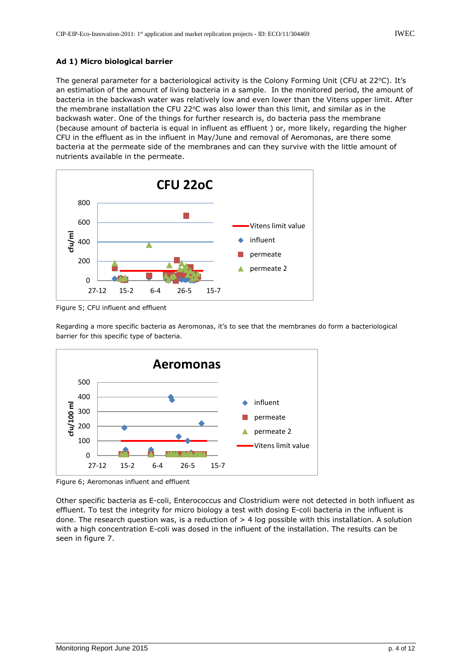#### **Ad 1) Micro biological barrier**

The general parameter for a bacteriological activity is the Colony Forming Unit (CFU at 22°C). It's an estimation of the amount of living bacteria in a sample. In the monitored period, the amount of bacteria in the backwash water was relatively low and even lower than the Vitens upper limit. After the membrane installation the CFU 22°C was also lower than this limit, and similar as in the backwash water. One of the things for further research is, do bacteria pass the membrane (because amount of bacteria is equal in influent as effluent ) or, more likely, regarding the higher CFU in the effluent as in the influent in May/June and removal of Aeromonas, are there some bacteria at the permeate side of the membranes and can they survive with the little amount of nutrients available in the permeate.



Figure 5; CFU influent and effluent

Regarding a more specific bacteria as Aeromonas, it's to see that the membranes do form a bacteriological barrier for this specific type of bacteria.



Figure 6; Aeromonas influent and effluent

Other specific bacteria as E-coli, Enterococcus and Clostridium were not detected in both influent as effluent. To test the integrity for micro biology a test with dosing E-coli bacteria in the influent is done. The research question was, is a reduction of  $> 4$  log possible with this installation. A solution with a high concentration E-coli was dosed in the influent of the installation. The results can be seen in figure 7.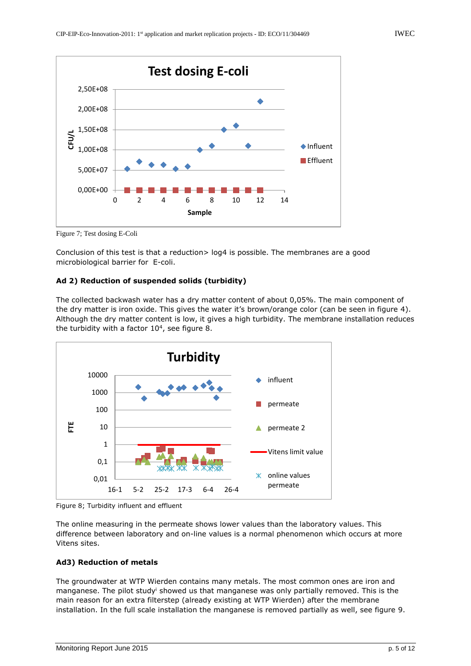

Figure 7; Test dosing E-Coli

Conclusion of this test is that a reduction> log4 is possible. The membranes are a good microbiological barrier for E-coli.

#### **Ad 2) Reduction of suspended solids (turbidity)**

The collected backwash water has a dry matter content of about 0,05%. The main component of the dry matter is iron oxide. This gives the water it's brown/orange color (can be seen in figure 4). Although the dry matter content is low, it gives a high turbidity. The membrane installation reduces the turbidity with a factor  $10<sup>4</sup>$ , see figure 8.



Figure 8; Turbidity influent and effluent

The online measuring in the permeate shows lower values than the laboratory values. This difference between laboratory and on-line values is a normal phenomenon which occurs at more Vitens sites.

#### **Ad3) Reduction of metals**

The groundwater at WTP Wierden contains many metals. The most common ones are iron and manganese. The pilot study<sup>i</sup> showed us that manganese was only partially removed. This is the main reason for an extra filterstep (already existing at WTP Wierden) after the membrane installation. In the full scale installation the manganese is removed partially as well, see figure 9.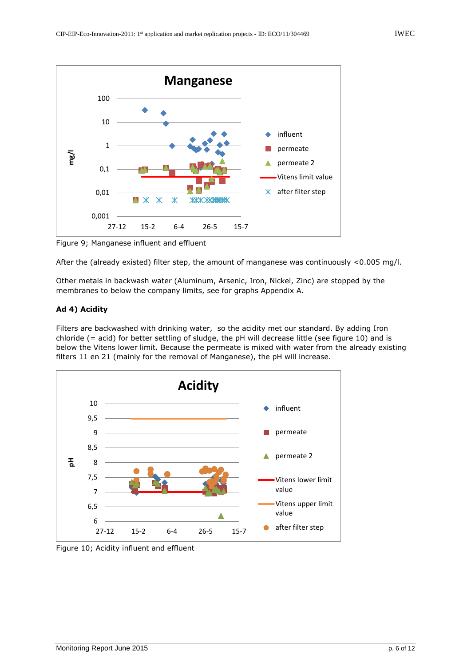

Figure 9; Manganese influent and effluent

After the (already existed) filter step, the amount of manganese was continuously <0.005 mg/l.

Other metals in backwash water (Aluminum, Arsenic, Iron, Nickel, Zinc) are stopped by the membranes to below the company limits, see for graphs Appendix A.

#### **Ad 4) Acidity**

Filters are backwashed with drinking water, so the acidity met our standard. By adding Iron chloride (= acid) for better settling of sludge, the pH will decrease little (see figure 10) and is below the Vitens lower limit. Because the permeate is mixed with water from the already existing filters 11 en 21 (mainly for the removal of Manganese), the pH will increase.



Figure 10; Acidity influent and effluent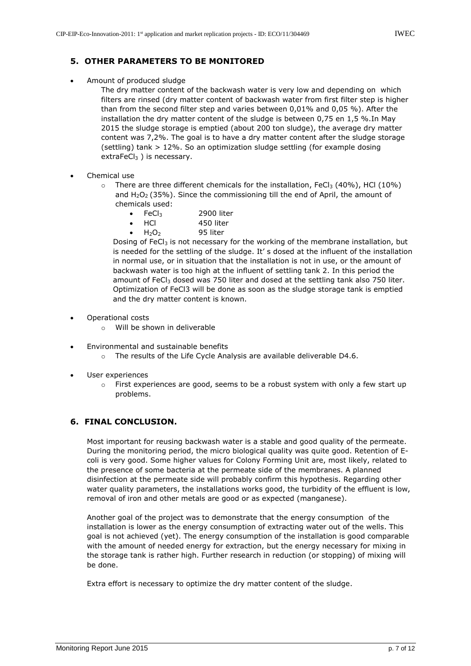#### **5. OTHER PARAMETERS TO BE MONITORED**

Amount of produced sludge

The dry matter content of the backwash water is very low and depending on which filters are rinsed (dry matter content of backwash water from first filter step is higher than from the second filter step and varies between 0,01% and 0,05 %). After the installation the dry matter content of the sludge is between 0,75 en 1,5 %.In May 2015 the sludge storage is emptied (about 200 ton sludge), the average dry matter content was 7,2%. The goal is to have a dry matter content after the sludge storage (settling) tank > 12%. So an optimization sludge settling (for example dosing extraFeCl<sub>3</sub>) is necessary.

- Chemical use
	- $\circ$  There are three different chemicals for the installation, FeCl<sub>3</sub> (40%), HCl (10%) and  $H_2O_2$  (35%). Since the commissioning till the end of April, the amount of chemicals used:
		- FeCl<sub>3</sub> 2900 liter
		- HCl 450 liter
		- H<sub>2</sub>O<sub>2</sub> 95 liter

Dosing of FeCl<sub>3</sub> is not necessary for the working of the membrane installation, but is needed for the settling of the sludge. It' s dosed at the influent of the installation in normal use, or in situation that the installation is not in use, or the amount of backwash water is too high at the influent of settling tank 2. In this period the amount of FeC $l_3$  dosed was 750 liter and dosed at the settling tank also 750 liter. Optimization of FeCl3 will be done as soon as the sludge storage tank is emptied and the dry matter content is known.

- Operational costs
	- o Will be shown in deliverable
- Environmental and sustainable benefits
	- o The results of the Life Cycle Analysis are available deliverable D4.6.
- User experiences
	- $\circ$  First experiences are good, seems to be a robust system with only a few start up problems.

#### **6. FINAL CONCLUSION.**

Most important for reusing backwash water is a stable and good quality of the permeate. During the monitoring period, the micro biological quality was quite good. Retention of Ecoli is very good. Some higher values for Colony Forming Unit are, most likely, related to the presence of some bacteria at the permeate side of the membranes. A planned disinfection at the permeate side will probably confirm this hypothesis. Regarding other water quality parameters, the installations works good, the turbidity of the effluent is low, removal of iron and other metals are good or as expected (manganese).

Another goal of the project was to demonstrate that the energy consumption of the installation is lower as the energy consumption of extracting water out of the wells. This goal is not achieved (yet). The energy consumption of the installation is good comparable with the amount of needed energy for extraction, but the energy necessary for mixing in the storage tank is rather high. Further research in reduction (or stopping) of mixing will be done.

Extra effort is necessary to optimize the dry matter content of the sludge.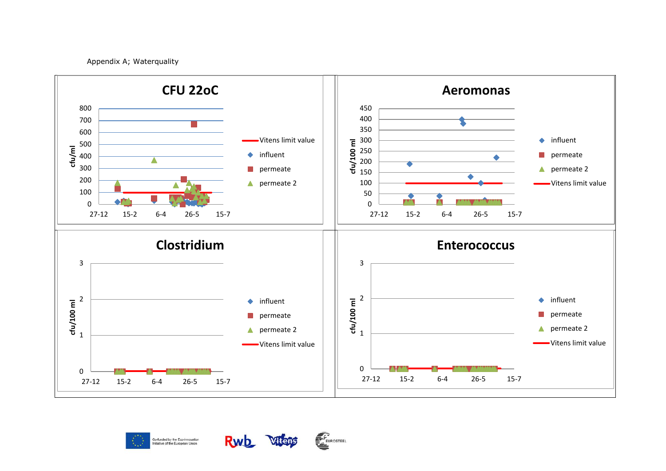Appendix A; Waterquality







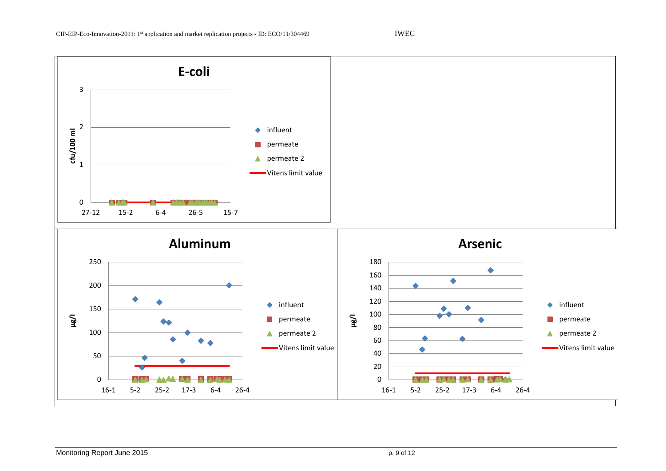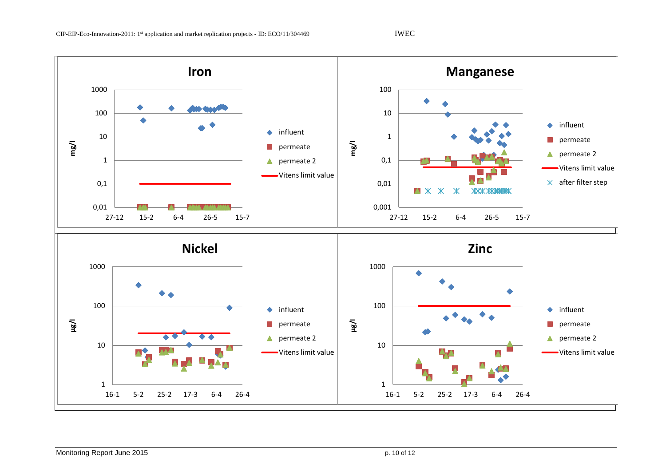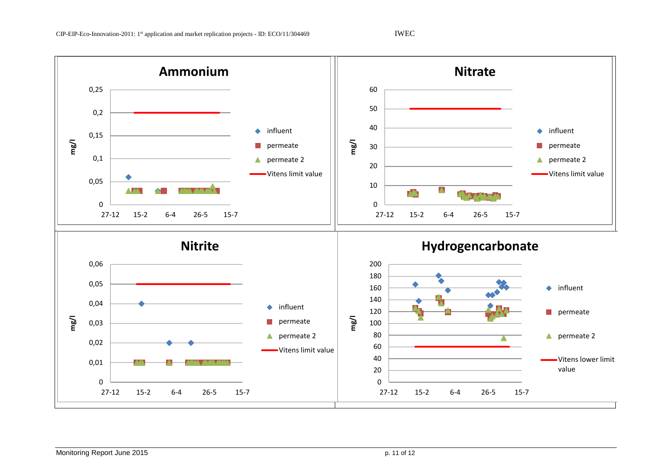